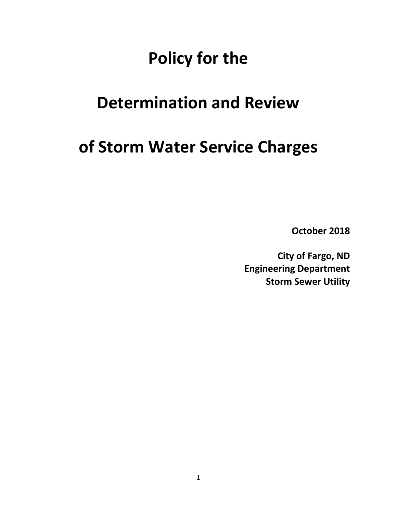# **Policy for the**

# **Determination and Review**

# **of Storm Water Service Charges**

**October 2018**

**City of Fargo, ND Engineering Department Storm Sewer Utility**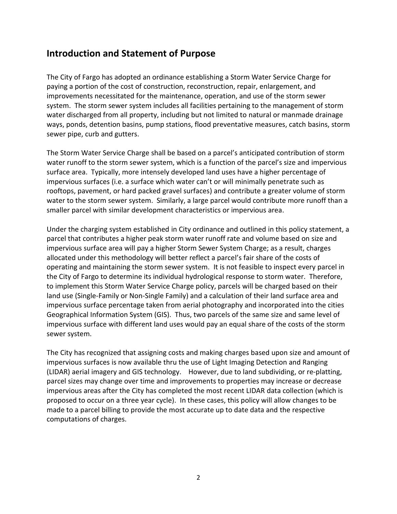## **Introduction and Statement of Purpose**

The City of Fargo has adopted an ordinance establishing a Storm Water Service Charge for paying a portion of the cost of construction, reconstruction, repair, enlargement, and improvements necessitated for the maintenance, operation, and use of the storm sewer system. The storm sewer system includes all facilities pertaining to the management of storm water discharged from all property, including but not limited to natural or manmade drainage ways, ponds, detention basins, pump stations, flood preventative measures, catch basins, storm sewer pipe, curb and gutters.

The Storm Water Service Charge shall be based on a parcel's anticipated contribution of storm water runoff to the storm sewer system, which is a function of the parcel's size and impervious surface area. Typically, more intensely developed land uses have a higher percentage of impervious surfaces (i.e. a surface which water can't or will minimally penetrate such as rooftops, pavement, or hard packed gravel surfaces) and contribute a greater volume of storm water to the storm sewer system. Similarly, a large parcel would contribute more runoff than a smaller parcel with similar development characteristics or impervious area.

Under the charging system established in City ordinance and outlined in this policy statement, a parcel that contributes a higher peak storm water runoff rate and volume based on size and impervious surface area will pay a higher Storm Sewer System Charge; as a result, charges allocated under this methodology will better reflect a parcel's fair share of the costs of operating and maintaining the storm sewer system. It is not feasible to inspect every parcel in the City of Fargo to determine its individual hydrological response to storm water. Therefore, to implement this Storm Water Service Charge policy, parcels will be charged based on their land use (Single-Family or Non-Single Family) and a calculation of their land surface area and impervious surface percentage taken from aerial photography and incorporated into the cities Geographical Information System (GIS). Thus, two parcels of the same size and same level of impervious surface with different land uses would pay an equal share of the costs of the storm sewer system.

The City has recognized that assigning costs and making charges based upon size and amount of impervious surfaces is now available thru the use of Light Imaging Detection and Ranging (LIDAR) aerial imagery and GIS technology. However, due to land subdividing, or re-platting, parcel sizes may change over time and improvements to properties may increase or decrease impervious areas after the City has completed the most recent LIDAR data collection (which is proposed to occur on a three year cycle). In these cases, this policy will allow changes to be made to a parcel billing to provide the most accurate up to date data and the respective computations of charges.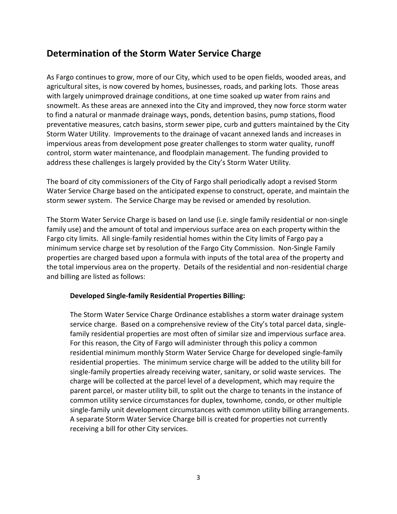# **Determination of the Storm Water Service Charge**

As Fargo continues to grow, more of our City, which used to be open fields, wooded areas, and agricultural sites, is now covered by homes, businesses, roads, and parking lots. Those areas with largely unimproved drainage conditions, at one time soaked up water from rains and snowmelt. As these areas are annexed into the City and improved, they now force storm water to find a natural or manmade drainage ways, ponds, detention basins, pump stations, flood preventative measures, catch basins, storm sewer pipe, curb and gutters maintained by the City Storm Water Utility. Improvements to the drainage of vacant annexed lands and increases in impervious areas from development pose greater challenges to storm water quality, runoff control, storm water maintenance, and floodplain management. The funding provided to address these challenges is largely provided by the City's Storm Water Utility.

The board of city commissioners of the City of Fargo shall periodically adopt a revised Storm Water Service Charge based on the anticipated expense to construct, operate, and maintain the storm sewer system. The Service Charge may be revised or amended by resolution.

The Storm Water Service Charge is based on land use (i.e. single family residential or non-single family use) and the amount of total and impervious surface area on each property within the Fargo city limits. All single-family residential homes within the City limits of Fargo pay a minimum service charge set by resolution of the Fargo City Commission. Non-Single Family properties are charged based upon a formula with inputs of the total area of the property and the total impervious area on the property. Details of the residential and non-residential charge and billing are listed as follows:

### **Developed Single-family Residential Properties Billing:**

The Storm Water Service Charge Ordinance establishes a storm water drainage system service charge. Based on a comprehensive review of the City's total parcel data, singlefamily residential properties are most often of similar size and impervious surface area. For this reason, the City of Fargo will administer through this policy a common residential minimum monthly Storm Water Service Charge for developed single-family residential properties. The minimum service charge will be added to the utility bill for single-family properties already receiving water, sanitary, or solid waste services. The charge will be collected at the parcel level of a development, which may require the parent parcel, or master utility bill, to split out the charge to tenants in the instance of common utility service circumstances for duplex, townhome, condo, or other multiple single-family unit development circumstances with common utility billing arrangements. A separate Storm Water Service Charge bill is created for properties not currently receiving a bill for other City services.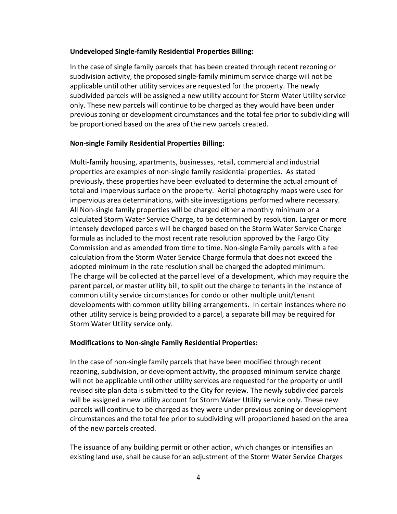#### **Undeveloped Single-family Residential Properties Billing:**

In the case of single family parcels that has been created through recent rezoning or subdivision activity, the proposed single-family minimum service charge will not be applicable until other utility services are requested for the property. The newly subdivided parcels will be assigned a new utility account for Storm Water Utility service only. These new parcels will continue to be charged as they would have been under previous zoning or development circumstances and the total fee prior to subdividing will be proportioned based on the area of the new parcels created.

#### **Non-single Family Residential Properties Billing:**

Multi-family housing, apartments, businesses, retail, commercial and industrial properties are examples of non-single family residential properties. As stated previously, these properties have been evaluated to determine the actual amount of total and impervious surface on the property. Aerial photography maps were used for impervious area determinations, with site investigations performed where necessary. All Non-single family properties will be charged either a monthly minimum or a calculated Storm Water Service Charge, to be determined by resolution. Larger or more intensely developed parcels will be charged based on the Storm Water Service Charge formula as included to the most recent rate resolution approved by the Fargo City Commission and as amended from time to time. Non-single Family parcels with a fee calculation from the Storm Water Service Charge formula that does not exceed the adopted minimum in the rate resolution shall be charged the adopted minimum. The charge will be collected at the parcel level of a development, which may require the parent parcel, or master utility bill, to split out the charge to tenants in the instance of common utility service circumstances for condo or other multiple unit/tenant developments with common utility billing arrangements. In certain instances where no other utility service is being provided to a parcel, a separate bill may be required for Storm Water Utility service only.

#### **Modifications to Non-single Family Residential Properties:**

In the case of non-single family parcels that have been modified through recent rezoning, subdivision, or development activity, the proposed minimum service charge will not be applicable until other utility services are requested for the property or until revised site plan data is submitted to the City for review. The newly subdivided parcels will be assigned a new utility account for Storm Water Utility service only. These new parcels will continue to be charged as they were under previous zoning or development circumstances and the total fee prior to subdividing will proportioned based on the area of the new parcels created.

The issuance of any building permit or other action, which changes or intensifies an existing land use, shall be cause for an adjustment of the Storm Water Service Charges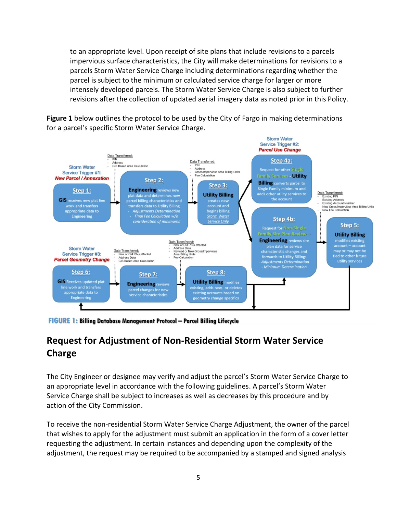to an appropriate level. Upon receipt of site plans that include revisions to a parcels impervious surface characteristics, the City will make determinations for revisions to a parcels Storm Water Service Charge including determinations regarding whether the parcel is subject to the minimum or calculated service charge for larger or more intensely developed parcels. The Storm Water Service Charge is also subject to further revisions after the collection of updated aerial imagery data as noted prior in this Policy.

**Figure 1** below outlines the protocol to be used by the City of Fargo in making determinations for a parcel's specific Storm Water Service Charge.



FIGURE 1: Billing Database Management Protocol - Parcel Billing Lifecycle

# **Request for Adjustment of Non-Residential Storm Water Service Charge**

The City Engineer or designee may verify and adjust the parcel's Storm Water Service Charge to an appropriate level in accordance with the following guidelines. A parcel's Storm Water Service Charge shall be subject to increases as well as decreases by this procedure and by action of the City Commission.

To receive the non-residential Storm Water Service Charge Adjustment, the owner of the parcel that wishes to apply for the adjustment must submit an application in the form of a cover letter requesting the adjustment. In certain instances and depending upon the complexity of the adjustment, the request may be required to be accompanied by a stamped and signed analysis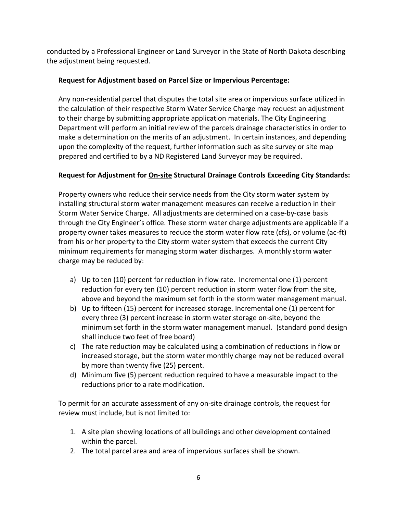conducted by a Professional Engineer or Land Surveyor in the State of North Dakota describing the adjustment being requested.

## **Request for Adjustment based on Parcel Size or Impervious Percentage:**

Any non-residential parcel that disputes the total site area or impervious surface utilized in the calculation of their respective Storm Water Service Charge may request an adjustment to their charge by submitting appropriate application materials. The City Engineering Department will perform an initial review of the parcels drainage characteristics in order to make a determination on the merits of an adjustment. In certain instances, and depending upon the complexity of the request, further information such as site survey or site map prepared and certified to by a ND Registered Land Surveyor may be required.

## **Request for Adjustment for On-site Structural Drainage Controls Exceeding City Standards:**

Property owners who reduce their service needs from the City storm water system by installing structural storm water management measures can receive a reduction in their Storm Water Service Charge. All adjustments are determined on a case-by-case basis through the City Engineer's office. These storm water charge adjustments are applicable if a property owner takes measures to reduce the storm water flow rate (cfs), or volume (ac-ft) from his or her property to the City storm water system that exceeds the current City minimum requirements for managing storm water discharges. A monthly storm water charge may be reduced by:

- a) Up to ten (10) percent for reduction in flow rate. Incremental one (1) percent reduction for every ten (10) percent reduction in storm water flow from the site, above and beyond the maximum set forth in the storm water management manual.
- b) Up to fifteen (15) percent for increased storage. Incremental one (1) percent for every three (3) percent increase in storm water storage on-site, beyond the minimum set forth in the storm water management manual. (standard pond design shall include two feet of free board)
- c) The rate reduction may be calculated using a combination of reductions in flow or increased storage, but the storm water monthly charge may not be reduced overall by more than twenty five (25) percent.
- d) Minimum five (5) percent reduction required to have a measurable impact to the reductions prior to a rate modification.

To permit for an accurate assessment of any on-site drainage controls, the request for review must include, but is not limited to:

- 1. A site plan showing locations of all buildings and other development contained within the parcel.
- 2. The total parcel area and area of impervious surfaces shall be shown.